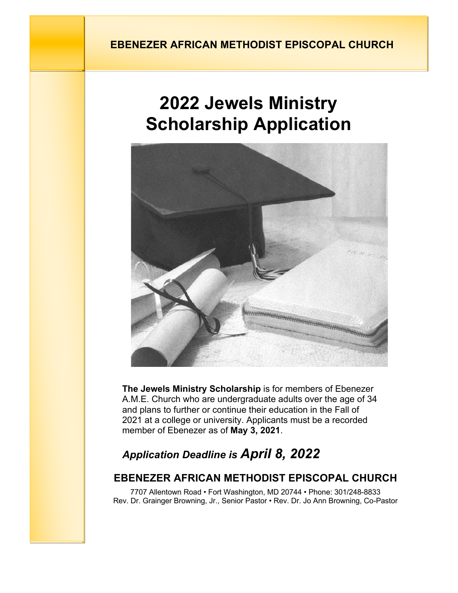## **EBENEZER AFRICAN METHODIST EPISCOPAL CHURCH**

# **2022 Jewels Ministry Scholarship Application**



**The Jewels Ministry Scholarship** is for members of Ebenezer A.M.E. Church who are undergraduate adults over the age of 34 and plans to further or continue their education in the Fall of 2021 at a college or university. Applicants must be a recorded member of Ebenezer as of **May 3, 2021**.

# *Application Deadline is April 8, 2022*

### **EBENEZER AFRICAN METHODIST EPISCOPAL CHURCH**

7707 Allentown Road • Fort Washington, MD 20744 • Phone: 301/248-8833 Rev. Dr. Grainger Browning, Jr., Senior Pastor • Rev. Dr. Jo Ann Browning, Co-Pastor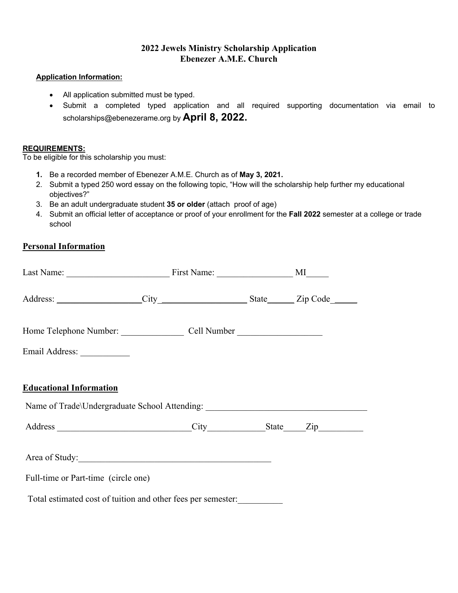#### **2022 Jewels Ministry Scholarship Application Ebenezer A.M.E. Church**

#### **Application Information:**

- All application submitted must be typed.
- Submit a completed typed application and all required supporting documentation via email to scholarships@ebenezerame.org by **April 8, 2022.**

#### **REQUIREMENTS:**

To be eligible for this scholarship you must:

- **1.** Be a recorded member of Ebenezer A.M.E. Church as of **May 3, 2021.**
- 2. Submit a typed 250 word essay on the following topic, "How will the scholarship help further my educational objectives?"
- 3. Be an adult undergraduate student **35 or older** (attach proof of age)
- 4. Submit an official letter of acceptance or proof of your enrollment for the **Fall 2022** semester at a college or trade school

#### **Personal Information**

| Address: ____________________City _________________________State________Zip Code_______                            |  |  |
|--------------------------------------------------------------------------------------------------------------------|--|--|
|                                                                                                                    |  |  |
| Email Address: _____________                                                                                       |  |  |
| <b>Educational Information</b><br>Name of Trade\Undergraduate School Attending: __________________________________ |  |  |
|                                                                                                                    |  |  |
|                                                                                                                    |  |  |
| Full-time or Part-time (circle one)                                                                                |  |  |
| Total estimated cost of tuition and other fees per semester:                                                       |  |  |